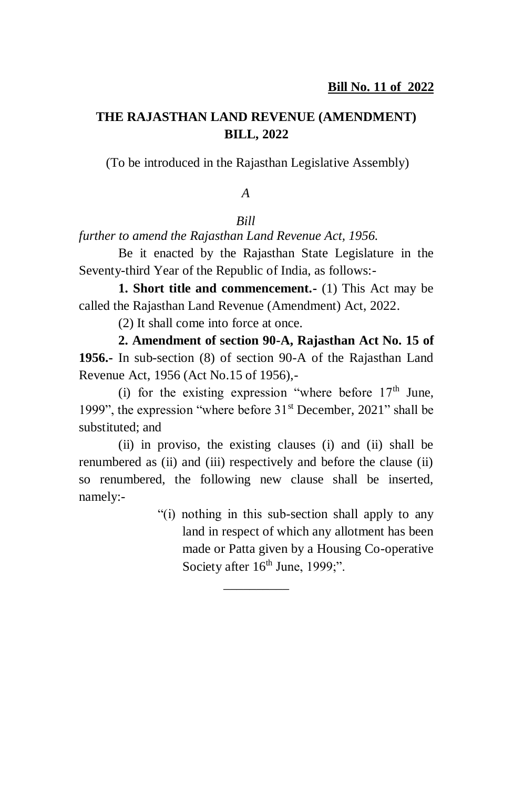## **THE RAJASTHAN LAND REVENUE (AMENDMENT) BILL, 2022**

(To be introduced in the Rajasthan Legislative Assembly)

#### *A*

#### *Bill*

*further to amend the Rajasthan Land Revenue Act, 1956.*

Be it enacted by the Rajasthan State Legislature in the Seventy-third Year of the Republic of India, as follows:-

**1. Short title and commencement.-** (1) This Act may be called the Rajasthan Land Revenue (Amendment) Act, 2022.

(2) It shall come into force at once.

**2. Amendment of section 90-A, Rajasthan Act No. 15 of 1956.-** In sub-section (8) of section 90-A of the Rajasthan Land Revenue Act, 1956 (Act No.15 of 1956),-

(i) for the existing expression "where before  $17<sup>th</sup>$  June, 1999", the expression "where before  $31<sup>st</sup>$  December, 2021" shall be substituted; and

(ii) in proviso, the existing clauses (i) and (ii) shall be renumbered as (ii) and (iii) respectively and before the clause (ii) so renumbered, the following new clause shall be inserted, namely:-

 $\overline{\phantom{a}}$ 

"(i) nothing in this sub-section shall apply to any land in respect of which any allotment has been made or Patta given by a Housing Co-operative Society after  $16<sup>th</sup>$  June, 1999;".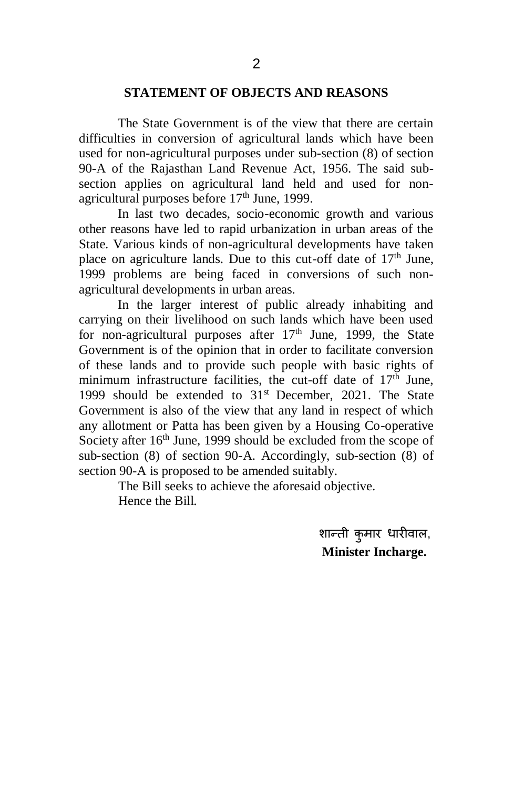#### **STATEMENT OF OBJECTS AND REASONS**

The State Government is of the view that there are certain difficulties in conversion of agricultural lands which have been used for non-agricultural purposes under sub-section (8) of section 90-A of the Rajasthan Land Revenue Act, 1956. The said subsection applies on agricultural land held and used for nonagricultural purposes before  $17<sup>th</sup>$  June, 1999.

In last two decades, socio-economic growth and various other reasons have led to rapid urbanization in urban areas of the State. Various kinds of non-agricultural developments have taken place on agriculture lands. Due to this cut-off date of  $17<sup>th</sup>$  June, 1999 problems are being faced in conversions of such nonagricultural developments in urban areas.

In the larger interest of public already inhabiting and carrying on their livelihood on such lands which have been used for non-agricultural purposes after  $17<sup>th</sup>$  June, 1999, the State Government is of the opinion that in order to facilitate conversion of these lands and to provide such people with basic rights of minimum infrastructure facilities, the cut-off date of  $17<sup>th</sup>$  June, 1999 should be extended to  $31<sup>st</sup>$  December, 2021. The State Government is also of the view that any land in respect of which any allotment or Patta has been given by a Housing Co-operative Society after  $16<sup>th</sup>$  June, 1999 should be excluded from the scope of sub-section (8) of section 90-A. Accordingly, sub-section (8) of section 90-A is proposed to be amended suitably.

> The Bill seeks to achieve the aforesaid objective. Hence the Bill.

> > शान्ती कुमार धारीवाल, **Minister Incharge.**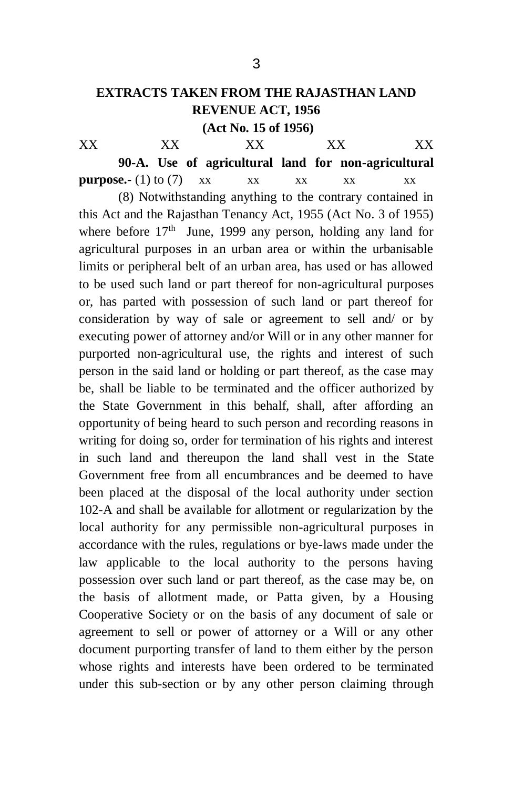## **EXTRACTS TAKEN FROM THE RAJASTHAN LAND REVENUE ACT, 1956**

**(Act No. 15 of 1956)**

XX XX XX XX XX **90-A. Use of agricultural land for non-agricultural purpose.-** (1) to (7)  $\boldsymbol{X} \times \boldsymbol{X}$  xx  $\boldsymbol{X} \times \boldsymbol{X}$  xx  $\boldsymbol{X} \times \boldsymbol{X}$ 

(8) Notwithstanding anything to the contrary contained in this Act and the Rajasthan Tenancy Act, 1955 (Act No. 3 of 1955) where before 17<sup>th</sup> June, 1999 any person, holding any land for agricultural purposes in an urban area or within the urbanisable limits or peripheral belt of an urban area, has used or has allowed to be used such land or part thereof for non-agricultural purposes or, has parted with possession of such land or part thereof for consideration by way of sale or agreement to sell and/ or by executing power of attorney and/or Will or in any other manner for purported non-agricultural use, the rights and interest of such person in the said land or holding or part thereof, as the case may be, shall be liable to be terminated and the officer authorized by the State Government in this behalf, shall, after affording an opportunity of being heard to such person and recording reasons in writing for doing so, order for termination of his rights and interest in such land and thereupon the land shall vest in the State Government free from all encumbrances and be deemed to have been placed at the disposal of the local authority under section 102-A and shall be available for allotment or regularization by the local authority for any permissible non-agricultural purposes in accordance with the rules, regulations or bye-laws made under the law applicable to the local authority to the persons having possession over such land or part thereof, as the case may be, on the basis of allotment made, or Patta given, by a Housing Cooperative Society or on the basis of any document of sale or agreement to sell or power of attorney or a Will or any other document purporting transfer of land to them either by the person whose rights and interests have been ordered to be terminated under this sub-section or by any other person claiming through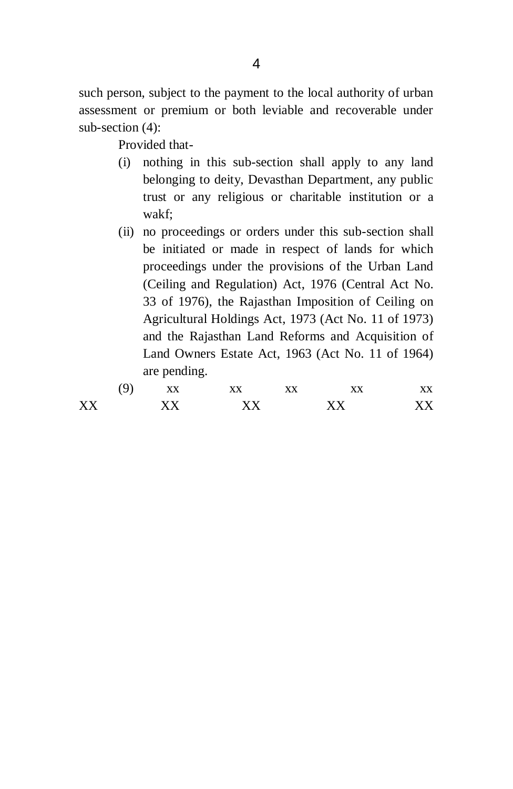such person, subject to the payment to the local authority of urban assessment or premium or both leviable and recoverable under sub-section (4):

Provided that-

- (i) nothing in this sub-section shall apply to any land belonging to deity, Devasthan Department, any public trust or any religious or charitable institution or a wakf;
- (ii) no proceedings or orders under this sub-section shall be initiated or made in respect of lands for which proceedings under the provisions of the Urban Land (Ceiling and Regulation) Act, 1976 (Central Act No. 33 of 1976), the Rajasthan Imposition of Ceiling on Agricultural Holdings Act, 1973 (Act No. 11 of 1973) and the Rajasthan Land Reforms and Acquisition of Land Owners Estate Act, 1963 (Act No. 11 of 1964) are pending.

|    | u | XX  | XX | XX | XX | vv<br>ΛΛ |
|----|---|-----|----|----|----|----------|
| XX |   | V V | vv |    | vv |          |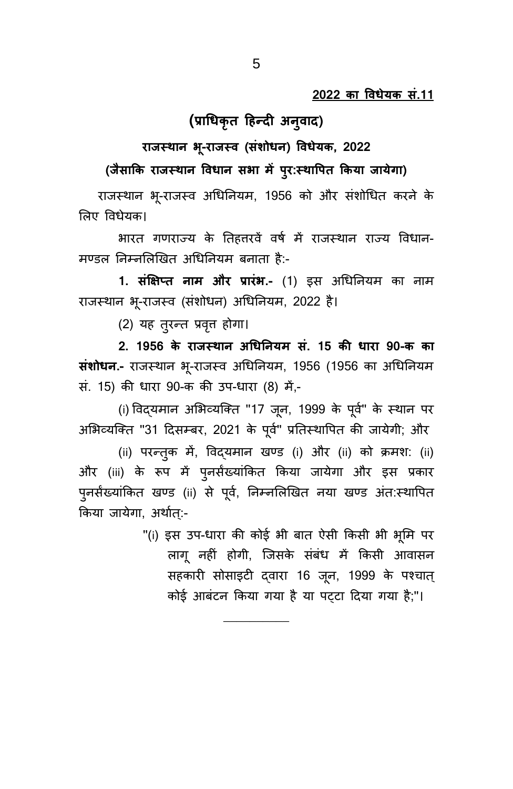## **(प्राधधकृत हिन्दी अनुिाद)**

### **राजस् थान -राजस् ि (संोधधन) विधेयक 2022**

**(जैसाकक राजस् थान विधान स ा ं परुर्स्थावरत ककया जाये ा)**

राजस्थान भू-राजस्व अधिनियम, 1956 को और संशोधित करने के लिए विधेयक।

भारत गणराज्य के तिहत्तरवें वर्ष में राजस्थान राज्य विधान-मण्डल निम्नलिखित अधिनियम बनाता है:-

1. सं**क्षिप्त नाम और प्रारंभ.-** (1) इस अधिनियम का नाम राजस्थान भू-राजस्व (संशोधन) अधिनियम, 2022 है।

(2) यह तुरन्त प्रवृत्त होगा।

**2. 1956 के राजस् थान अधधयनयं सं. 15 कध धारा 90-क का संशोधन.-** राजस्थान भू-राजस्व अधिनियम, 1956 (1956 का अधिनियम सं. 15) की धारा 90-क की उप-धारा (8) में,-

(i) विद्यमान अभिव्यक्ति "17 जून, 1999 के पूर्व" के स्थान पर अभिव्यक्ति "31 दिसम्बर, 2021 के पूर्व" प्रतिस्थापित की जायेगी; और

(ii) परन्तुक में, विद्यमान खण्ड (i) और (ii) को क्रमश: (ii) और (iii) के रूप में पुनर्संख्यांकित किया जायेगा और इस प्रकार पुनर्संख्यांकित खण्ड (ii) से पूर्व, निम्नलिखित नया खण्ड अंत:स्थापित किया जायेगा, अर्थात्:-

\_\_\_\_\_\_\_\_\_\_

"(i) इस उप-धारा की कोई भी बात ऐसी किसी भी भूमि पर लागू नहीं होगी, जिसके संबंध में किसी आवासन सहकारी सोसाइटी दवारा 16 जून, 1999 के पश्चात् कोई आबंटन किया गया है या पट्टा दिया गया है;"।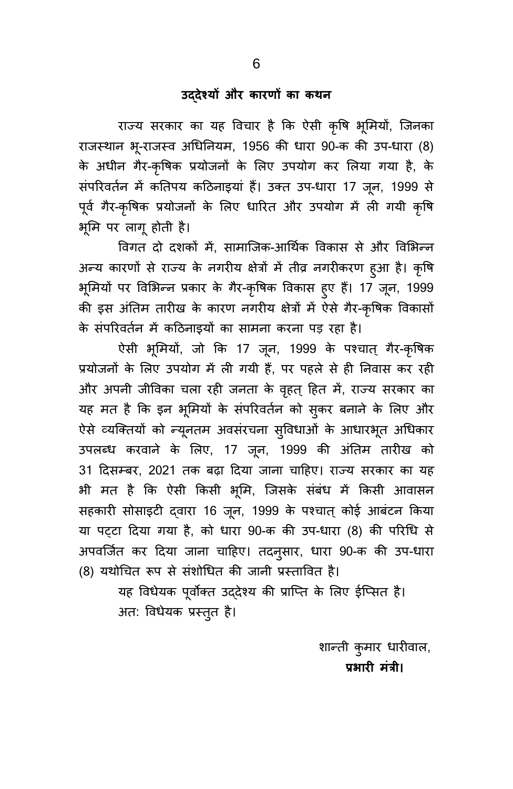#### उद्**देश्यों और कारणों का कथन**

राज्य सरकार का यह विचार है कि ऐसी कृषि भूमियों, जिनका राजस्थान भू-राजस्व अधिनियम, 1956 की धारा 90-क की उप-धारा (8) के अधीन गैर-कृषिक प्रयोजनों के लिए उपयोग कर लिया गया है, के संपरिवर्तन में कतिपय कठिनाइयां हैं। उक्त उप-धारा 17 जून, 1999 से पूर्व गैर-कृषिक प्रयोजनों के लिए धारित और उपयोग में ली गयी कृषि भूमि पर लागू होती है।

विगत दो दशकों में, सामाजिक-आर्थिक विकास से और विभिन्न अन्य कारणों से राज्य के नगरीय क्षेत्रों में तीव्र नगरीकरण हुआ है। कृषि भूमियों पर विभिन्न प्रकार के गैर-कृषिक विकास हुए हैं। 17 जून, 1999 की इस अंतिम तारीख के कारण नगरीय क्षेत्रों में ऐसे गैर-कृषिक विकासों के संपरिवर्तन में कठिनाइयों का सामना करना पड़ रहा है।

ऐसी भूमियों, जो कि 17 जून, 1999 के पश्चात् गैर-कृषिक प्रयोजनों के लिए उपयोग में ली गयी हैं, पर पहले से ही निवास कर रही और अपनी जीविका चला रही जनता के वृहत् हित में, राज्य सरकार का यह मत है कि इन भूमियों के संपरिवर्तन को सुकर बनाने के लिए और ऐसे व्यक्तियों को न्यूनतम अवसंरचना सुविधाओं के आधारभूत अधिकार उपलब्ध करवाने के लिए, 17 जून, 1999 की अंतिम तारीख को 31 दिसम्बर, 2021 तक बढ़ा दिया जाना चाहिए। राज्य सरकार का यह भी मत है कि ऐसी किसी भूमि, जिसके संबंध में किसी आवासन सहकारी सोसाइटी दवारा 16 जून, 1999 के पश्चात् कोई आबंटन किया या पट़टा दिया गया है, को धारा 90-क की उप-धारा (8) की परिधि से अपवर्जित कर दिया जाना चाहिए। तदनुसार, धारा 90-क की उप-धारा (8) यथोचित रूप से संशोधित की जानी प्रस्तावित है।

> यह विधेयक पूर्वोक्त उद्देश्य की प्राप्ति के लिए ईप्सित है। अत: विधेयक प्रस्तुत है।

> > शान्ती कुमार धारीवाल, प्रभारी मंत्री।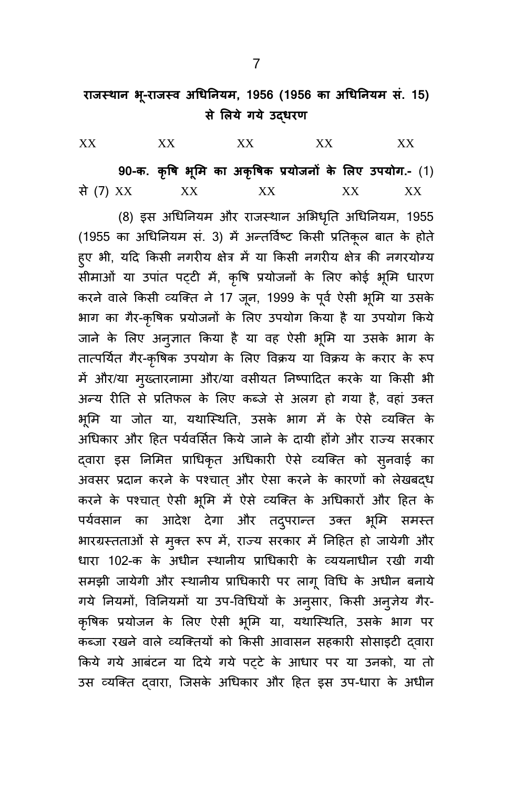| XX |  |                                                                                                                                                                                                                                                                                                  |  |
|----|--|--------------------------------------------------------------------------------------------------------------------------------------------------------------------------------------------------------------------------------------------------------------------------------------------------|--|
|    |  | $0.0 = \frac{1}{2}$ and $\frac{1}{2}$ and $\frac{1}{2}$ and $\frac{1}{2}$ and $\frac{1}{2}$ and $\frac{1}{2}$ and $\frac{1}{2}$ and $\frac{1}{2}$ and $\frac{1}{2}$ and $\frac{1}{2}$ and $\frac{1}{2}$ and $\frac{1}{2}$ and $\frac{1}{2}$ and $\frac{1}{2}$ and $\frac{1}{2}$ and $\frac{1}{2$ |  |

**90-क. कृवि लं का अकृविक प्रयधजनों के लिए उरयध .-** (9) ं (7) XX XX XX XX XX

(8) इस अधिनियम और राजस्थान अभिधृति अधिनियम, 1955 (1955 का अधिनियम सं. 3) में अन्तर्विष्ट किसी प्रतिकूल बात के होते हुए भी, यदि किसी नगरीय क्षेत्र में या किसी नगरीय क्षेत्र की नगरयोग्य सीमाओं या उपांत पट्टी में, कृषि प्रयोजनों के लिए कोई भूमि धारण करने वाले किसी व्यक्ति ने 17 जून, 1999 के पूर्व ऐसी भूमि या उसके भाग का गैर-कृषिक प्रयोजनों के लिए उपयोग किया है या उपयोग किये जाने के लिए अनुज्ञात किया है या वह ऐसी भूमि या उसके भाग के तात्पर्यित गैर-कृषिक उपयोग के लिए विक्रय या विक्रय के करार के रूप में और/या मुख्तारनामा और/या वसीयत निष्पादित करके या किसी भी अन्य रीति से प्रतिफल के लिए कब्जे से अलग हो गया है, वहां उक्त भूमि या जोत या, यथास्थिति, उसके भाग में के ऐसे व्यक्ति के अधिकार और हित पर्यवर्सित किये जाने के दायी होंगे और राज्य सरकार द्वारा इस निमित प्राधिकृत अधिकारी ऐसे व्यक्ति को स्नवाई का अवसर प्रदान करने के पश्चात् और ऐसा करने के कारणों को लेखबदध करने के पश्चात ऐसी भूमि में ऐसे व्यक्ति के अधिकारों और हित के पर्यवसान का आदेश देगा और तद्परान्त उक्त भूमि समस्त भारग्रस्तताओं से मुक्त रूप में, राज्य सरकार में निहित हो जायेगी और धारा 102-क के अधीन स्थानीय प्राधिकारी के व्ययनाधीन रखी गयी समझी जायेगी और स्थानीय प्राधिकारी पर लागू विधि के अधीन बनाये गये नियमों, विनियमों या उप-विधियों के अनुसार, किसी अनूजेय गैर-कृषिक प्रयोजन के लिए ऐसी भूमि या, यथास्थिति, उसके भाग पर कब्जा रखने वाले व्यक्तियों को किसी आवासन सहकारी सोसाइटी दवारा किये गये आबंटन या दिये गये पट्टे के आधार पर या उनको, या तो उस व्यक्ति दवारा, जिसके अधिकार और हित इस उप-धारा के अधीन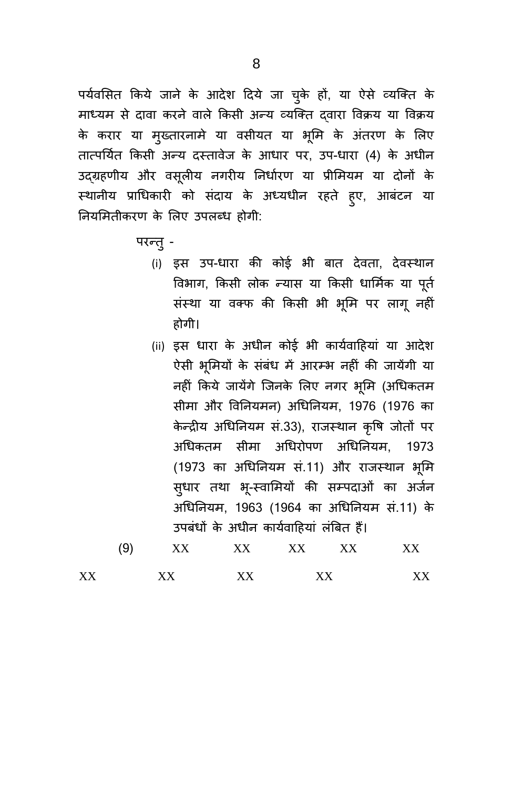पर्यवसित किये जाने के आदेश दिये जा चुके हों, या ऐसे व्यक्ति के माध्यम से दावा करने वाले किसी अन्य व्यक्ति दवारा विक्रय या विक्रय के करार या मुख्तारनामे या वसीयत या भूमि के अंतरण के लिए तात्पर्यित किसी अन्य दस्तावेज के आधार पर, उप-धारा (4) के अधीन उद्ग्रहणीय और वसूलीय नगरीय निर्धारण या प्रीमियम या दोनों के स्थानीय प्राधिकारी को संदाय के अध्यधीन रहते हुए, आबंटन या नियमितीकरण के लिए उपलब्ध होगी:

- परन्तु -
	- (i) इस उप-धारा की कोई भी बात देवता, देवस्थान विभाग, किसी लोक न्यास या किसी धार्मिक या पूर्त संस्था या वक्फ की किसी भी भूमि पर लागू नहीं होगी।
	- (ii) इस धारा के अधीन कोई भी कार्यवाहियां या आदेश ऐसी भूमियों के संबंध में आरम्भ नहीं की जायेंगी या नहीं किये जायेंगे जिनके लिए नगर भूमि (अधिकतम सीमा और विनियमन) अधिनियम, 1976 (1976 का केन्द्रीय अधिनियम सं.33), राजस्थान कृषि जोतों पर अधिकतम सीमा अधिरोपण अधिनियम, 1973 (1973 का अधिनियम सं.11) और राजस्थान भूमि स्धार तथा भू-स्वामियों की सम्पदाओं का अर्जन अधिनियम, 1963 (1964 का अधिनियम सं.11) के उपबंधों के अधीन कार्यवाहियां लंबित हैं।

|    | 9 | vv | xх | xх | <b>XX</b> | xх |  |
|----|---|----|----|----|-----------|----|--|
| XX |   | vv | vv | vv |           | w  |  |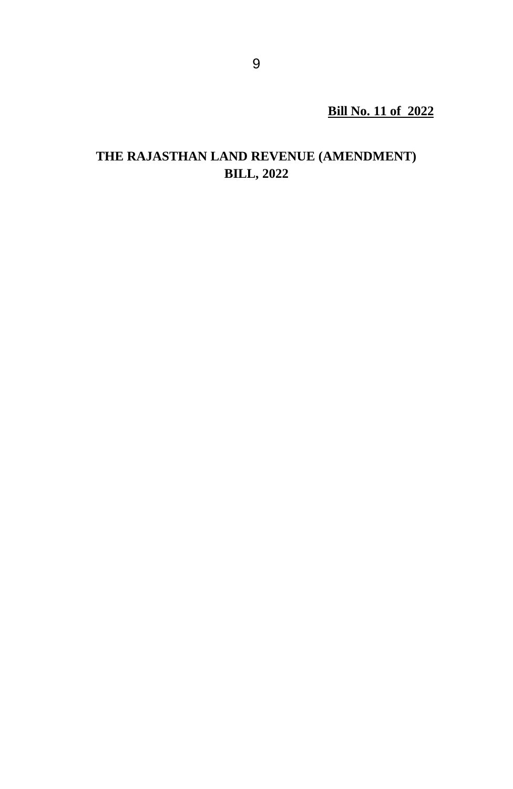**Bill No. 11 of 2022**

## **THE RAJASTHAN LAND REVENUE (AMENDMENT) BILL, 2022**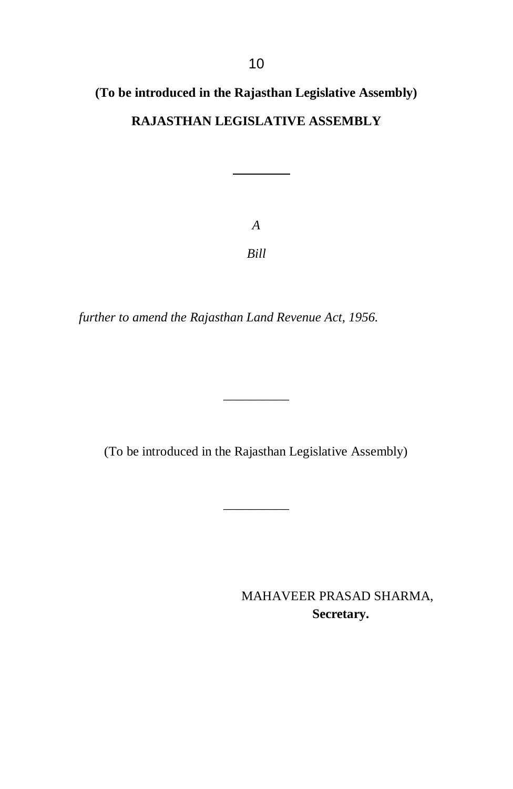# **(To be introduced in the Rajasthan Legislative Assembly) RAJASTHAN LEGISLATIVE ASSEMBLY**

*A Bill*

*further to amend the Rajasthan Land Revenue Act, 1956.*

(To be introduced in the Rajasthan Legislative Assembly)

\_\_\_\_\_\_\_\_\_\_

\_\_\_\_\_\_\_\_\_\_

MAHAVEER PRASAD SHARMA,  **Secretary.**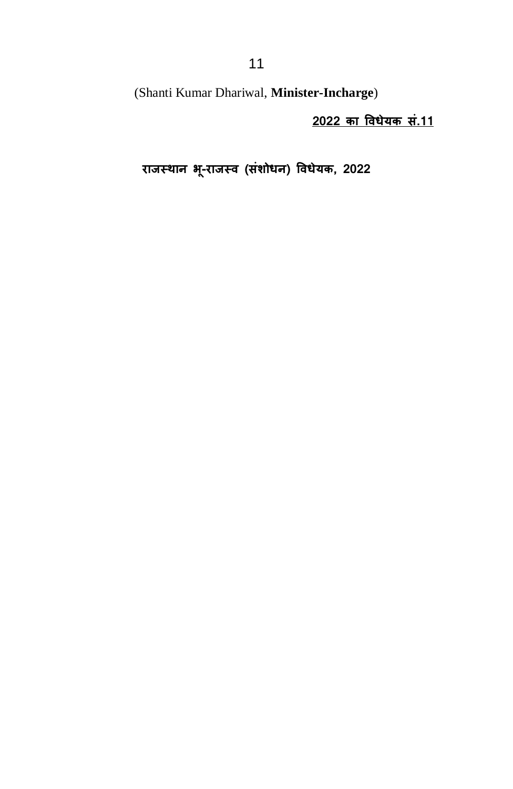(Shanti Kumar Dhariwal, **Minister-Incharge**)

**2022 का विधेयक सं.11** 

**राजस् थान -राजस् ि (संोधधन) विधेयक 2022**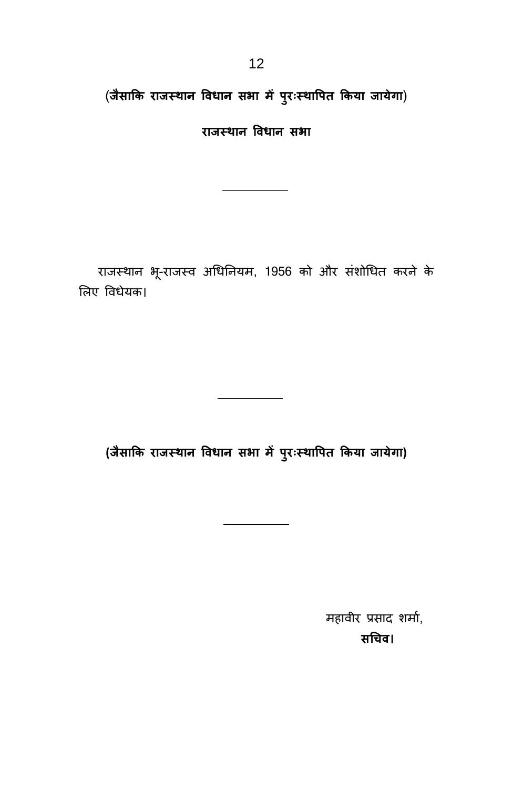(**जैसाकक राजस् थान विधान स ा ं परुरःस् थावरत ककया जाये ा**)

**राजस् थान विधान स ा**

राजस्थान भू-राजस्व अधिनियम, 1956 को और संशोधित करने के लिए विधेयक।

**(जैसाकक राजस् थान विधान स ा ं परुरःस्थावरत ककया जाये ा)**

महावीर प्रसाद शर्मा, **सधिि।**